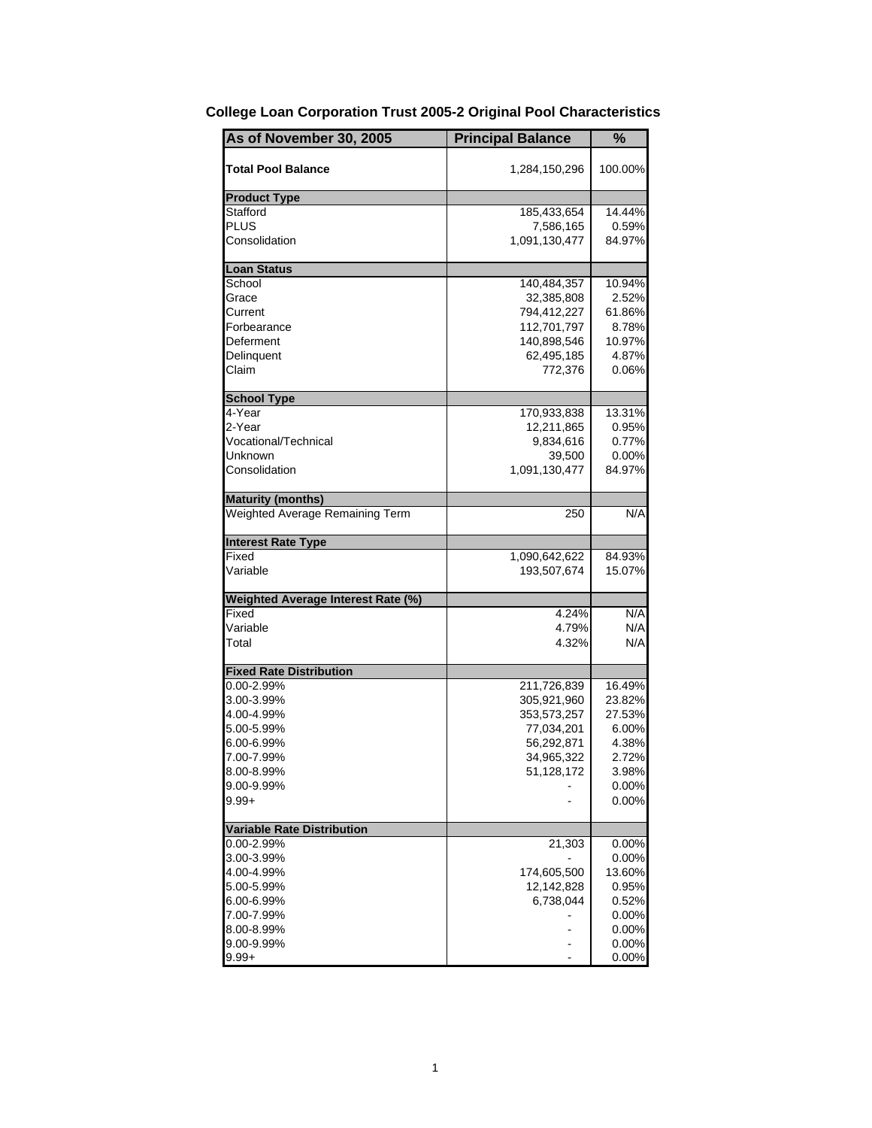| As of November 30, 2005                   | <b>Principal Balance</b> | %        |
|-------------------------------------------|--------------------------|----------|
| <b>Total Pool Balance</b>                 | 1,284,150,296            | 100.00%  |
| <b>Product Type</b>                       |                          |          |
| Stafford                                  | 185,433,654              | 14.44%   |
| PLUS                                      | 7,586,165                | 0.59%    |
| Consolidation                             | 1,091,130,477            | 84.97%   |
| <b>Loan Status</b>                        |                          |          |
| School                                    | 140,484,357              | 10.94%   |
| Grace                                     | 32,385,808               | 2.52%    |
| Current                                   | 794,412,227              | 61.86%   |
| Forbearance                               | 112,701,797              | 8.78%    |
| Deferment                                 | 140,898,546              | 10.97%   |
| Delinquent                                | 62,495,185               | 4.87%    |
| Claim                                     | 772,376                  | $0.06\%$ |
| <b>School Type</b>                        |                          |          |
| 4-Year                                    | 170,933,838              | 13.31%   |
| 2-Year                                    | 12,211,865               | 0.95%    |
| Vocational/Technical                      | 9,834,616                | 0.77%    |
| Unknown                                   | 39,500                   | 0.00%    |
| Consolidation                             | 1,091,130,477            | 84.97%   |
| <b>Maturity (months)</b>                  |                          |          |
| Weighted Average Remaining Term           | 250                      | N/A      |
| <b>Interest Rate Type</b>                 |                          |          |
| Fixed                                     | 1,090,642,622            | 84.93%   |
| Variable                                  | 193,507,674              | 15.07%   |
| <b>Weighted Average Interest Rate (%)</b> |                          |          |
| Fixed                                     | 4.24%                    | N/A      |
| Variable                                  | 4.79%                    | N/A      |
| Total                                     | 4.32%                    | N/A      |
| <b>Fixed Rate Distribution</b>            |                          |          |
| 0.00-2.99%                                | 211,726,839              | 16.49%   |
| 3.00-3.99%                                | 305,921,960              | 23.82%   |
| 4.00-4.99%                                | 353,573,257              | 27.53%   |
| 5.00-5.99%                                | 77,034,201               | 6.00%    |
| 6.00-6.99%                                | 56,292,871               | 4.38%    |
| 7.00-7.99%                                | 34,965,322               | 2.72%    |
| 8.00-8.99%                                | 51,128,172               | 3.98%    |
| 9.00-9.99%                                |                          | 0.00%    |
| $9.99 +$                                  |                          | 0.00%    |
| <b>Variable Rate Distribution</b>         |                          |          |
| $0.00 - 2.99\%$                           | 21,303                   | $0.00\%$ |
| 3.00-3.99%                                |                          | 0.00%    |
| 4.00-4.99%                                | 174,605,500              | 13.60%   |
| 5.00-5.99%                                | 12,142,828               | 0.95%    |
| 6.00-6.99%                                | 6,738,044                | 0.52%    |
| 7.00-7.99%                                |                          | 0.00%    |
| 8.00-8.99%                                |                          | 0.00%    |
| 9.00-9.99%                                |                          | 0.00%    |
| $9.99 +$                                  |                          | 0.00%    |

## **College Loan Corporation Trust 2005-2 Original Pool Characteristics**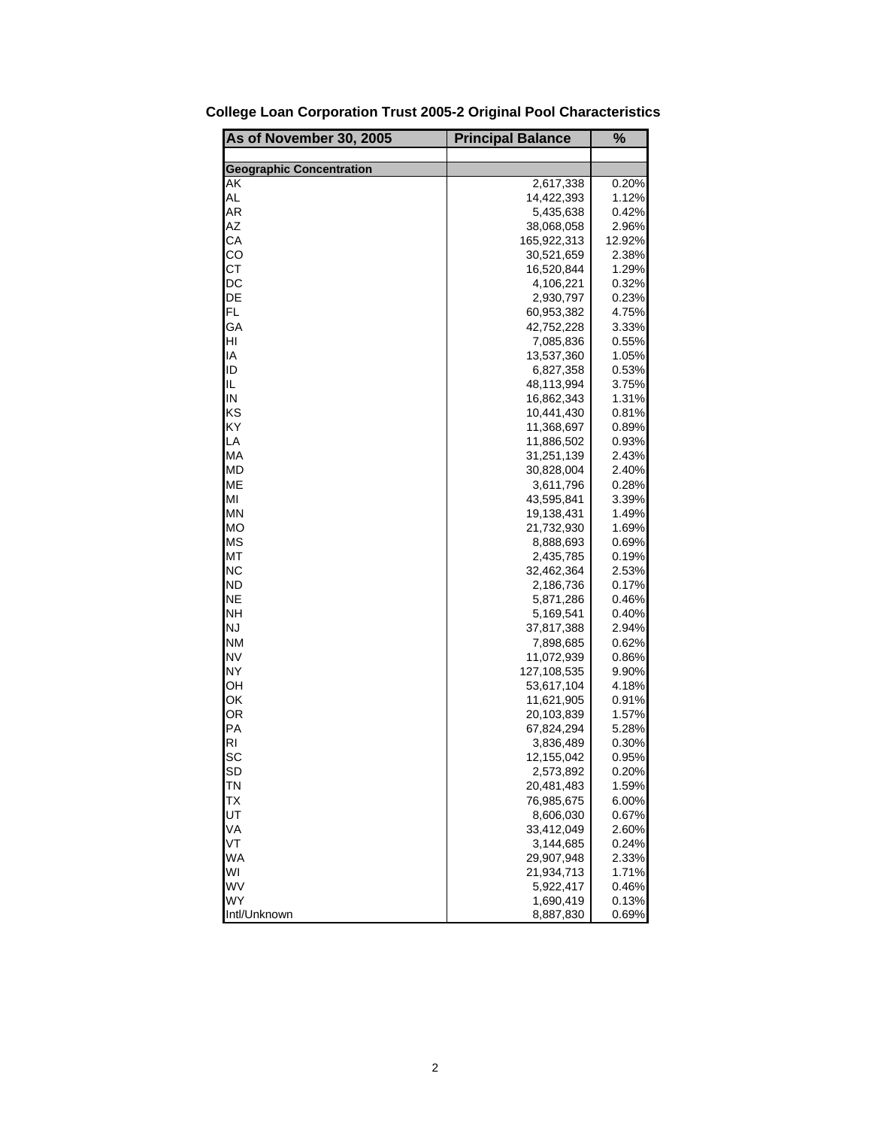| As of November 30, 2005         | <b>Principal Balance</b> | $\frac{9}{6}$   |
|---------------------------------|--------------------------|-----------------|
|                                 |                          |                 |
| <b>Geographic Concentration</b> |                          |                 |
| AΚ                              | 2,617,338                | 0.20%           |
| AL<br>AR                        | 14,422,393               | 1.12%           |
| AΖ                              | 5,435,638                | 0.42%           |
| СA                              | 38,068,058               | 2.96%<br>12.92% |
| CO                              | 165,922,313              | 2.38%           |
| CТ                              | 30,521,659<br>16,520,844 | 1.29%           |
| DC                              |                          | 0.32%           |
| DE                              | 4,106,221                | 0.23%           |
| FL                              | 2,930,797<br>60,953,382  |                 |
| GA                              |                          | 4.75%           |
|                                 | 42,752,228               | 3.33%           |
| HI                              | 7,085,836                | 0.55%           |
| IA                              | 13,537,360               | 1.05%           |
| ID                              | 6,827,358                | 0.53%           |
| IL                              | 48,113,994               | 3.75%           |
| IN                              | 16,862,343               | 1.31%           |
| ΚS                              | 10,441,430               | 0.81%           |
| KY                              | 11,368,697               | 0.89%           |
| LA                              | 11,886,502               | 0.93%           |
| МA                              | 31,251,139               | 2.43%           |
| MD                              | 30,828,004               | 2.40%           |
| ME                              | 3,611,796                | 0.28%           |
| MI                              | 43,595,841               | 3.39%           |
| ΜN                              | 19,138,431               | 1.49%           |
| <b>MO</b>                       | 21,732,930               | 1.69%           |
| <b>MS</b>                       | 8,888,693                | 0.69%           |
| МT                              | 2,435,785                | 0.19%           |
| <b>NC</b>                       | 32,462,364               | 2.53%           |
| ND                              | 2,186,736                | 0.17%           |
| <b>NE</b>                       | 5,871,286                | 0.46%           |
| <b>NH</b>                       | 5,169,541                | 0.40%           |
| <b>NJ</b>                       | 37,817,388               | 2.94%           |
| <b>NM</b>                       | 7,898,685                | 0.62%           |
| <b>NV</b>                       | 11,072,939               | 0.86%           |
| <b>NY</b>                       | 127,108,535              | 9.90%           |
| OН                              | 53,617,104               | 4.18%           |
| ΟK                              | 11,621,905               | 0.91%           |
| ΟR                              | 20,103,839               | 1.57%           |
| PA                              | 67,824,294               | 5.28%           |
| RI                              | 3,836,489                | 0.30%           |
| SC                              | 12,155,042               | 0.95%           |
| SD                              | 2,573,892                | 0.20%           |
| ΤN                              | 20,481,483               | 1.59%           |
| ТX                              | 76,985,675               | 6.00%           |
| UT<br>VA                        | 8,606,030                | 0.67%           |
| VT                              | 33,412,049               | 2.60%           |
| WA                              | 3,144,685                | 0.24%           |
| WI                              | 29,907,948               | 2.33%           |
| WV                              | 21,934,713               | 1.71%           |
| WY                              | 5,922,417<br>1,690,419   | 0.46%           |
| Intl/Unknown                    | 8,887,830                | 0.13%<br>0.69%  |
|                                 |                          |                 |

**College Loan Corporation Trust 2005-2 Original Pool Characteristics**